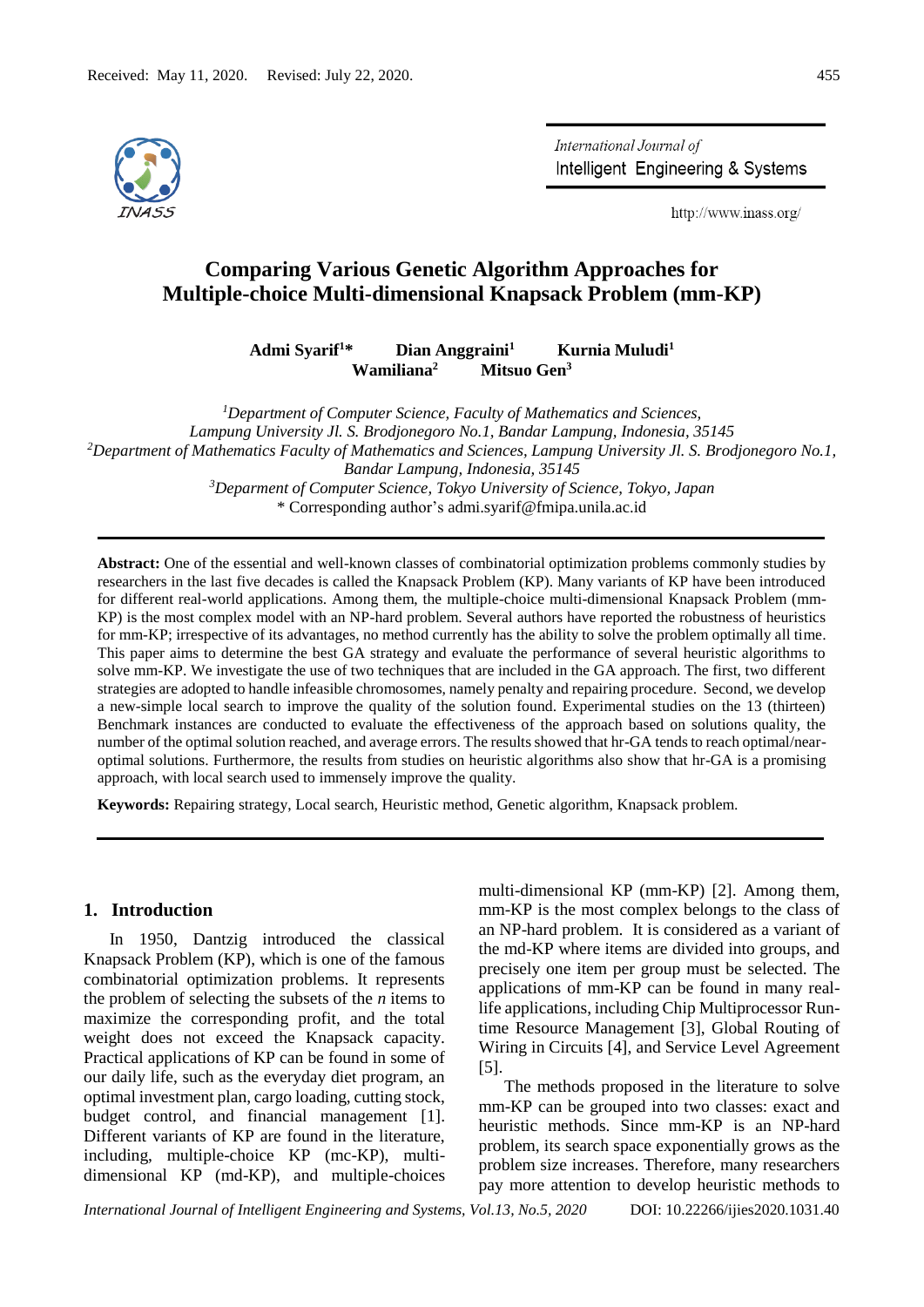

International Journal of Intelligent Engineering & Systems

http://www.inass.org/

# **Comparing Various Genetic Algorithm Approaches for Multiple-choice Multi-dimensional Knapsack Problem (mm-KP)**

**Admi Syarif<sup>1</sup>\* Dian Anggraini<sup>1</sup> Kurnia Muludi<sup>1</sup> Wamiliana<sup>2</sup> Mitsuo Gen<sup>3</sup>**

*<sup>1</sup>Department of Computer Science, Faculty of Mathematics and Sciences, Lampung University Jl. S. Brodjonegoro No.1, Bandar Lampung, Indonesia, 35145 <sup>2</sup>Department of Mathematics Faculty of Mathematics and Sciences, Lampung University Jl. S. Brodjonegoro No.1, Bandar Lampung, Indonesia, 35145 <sup>3</sup>Deparment of Computer Science, Tokyo University of Science, Tokyo, Japan* \* Corresponding author's admi.syarif@fmipa.unila.ac.id

**Abstract:** One of the essential and well-known classes of combinatorial optimization problems commonly studies by researchers in the last five decades is called the Knapsack Problem (KP). Many variants of KP have been introduced for different real-world applications. Among them, the multiple-choice multi-dimensional Knapsack Problem (mm-KP) is the most complex model with an NP-hard problem. Several authors have reported the robustness of heuristics for mm-KP; irrespective of its advantages, no method currently has the ability to solve the problem optimally all time. This paper aims to determine the best GA strategy and evaluate the performance of several heuristic algorithms to solve mm-KP. We investigate the use of two techniques that are included in the GA approach. The first, two different strategies are adopted to handle infeasible chromosomes, namely penalty and repairing procedure. Second, we develop a new-simple local search to improve the quality of the solution found. Experimental studies on the 13 (thirteen) Benchmark instances are conducted to evaluate the effectiveness of the approach based on solutions quality, the number of the optimal solution reached, and average errors. The results showed that hr-GA tends to reach optimal/nearoptimal solutions. Furthermore, the results from studies on heuristic algorithms also show that hr-GA is a promising approach, with local search used to immensely improve the quality.

**Keywords:** Repairing strategy, Local search, Heuristic method, Genetic algorithm, Knapsack problem.

#### **1. Introduction**

In 1950, Dantzig introduced the classical Knapsack Problem (KP), which is one of the famous combinatorial optimization problems. It represents the problem of selecting the subsets of the *n* items to maximize the corresponding profit, and the total weight does not exceed the Knapsack capacity. Practical applications of KP can be found in some of our daily life, such as the everyday diet program, an optimal investment plan, cargo loading, cutting stock, budget control, and financial management [1]. Different variants of KP are found in the literature, including, multiple-choice KP (mc-KP), multidimensional KP (md-KP), and multiple-choices

multi-dimensional KP (mm-KP) [2]. Among them, mm-KP is the most complex belongs to the class of an NP-hard problem. It is considered as a variant of the md-KP where items are divided into groups, and precisely one item per group must be selected. The applications of mm-KP can be found in many reallife applications, including Chip Multiprocessor Runtime Resource Management [3], Global Routing of Wiring in Circuits [4], and Service Level Agreement [5].

The methods proposed in the literature to solve mm-KP can be grouped into two classes: exact and heuristic methods. Since mm-KP is an NP-hard problem, its search space exponentially grows as the problem size increases. Therefore, many researchers pay more attention to develop heuristic methods to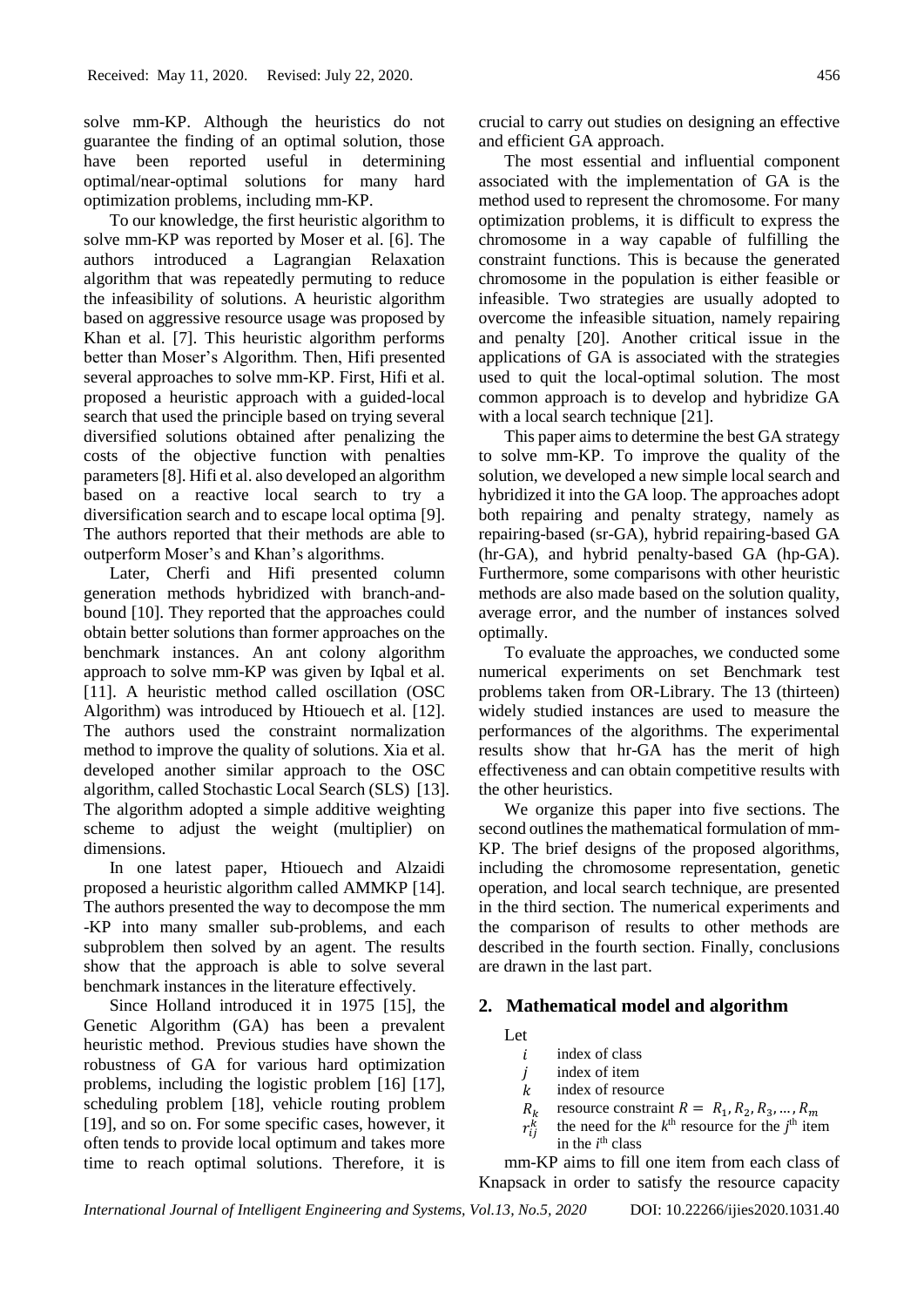solve mm-KP. Although the heuristics do not guarantee the finding of an optimal solution, those have been reported useful in determining optimal/near-optimal solutions for many hard optimization problems, including mm-KP.

To our knowledge, the first heuristic algorithm to solve mm-KP was reported by Moser et al. [6]. The authors introduced a Lagrangian Relaxation algorithm that was repeatedly permuting to reduce the infeasibility of solutions. A heuristic algorithm based on aggressive resource usage was proposed by Khan et al. [7]. This heuristic algorithm performs better than Moser's Algorithm. Then, Hifi presented several approaches to solve mm-KP. First, Hifi et al. proposed a heuristic approach with a guided-local search that used the principle based on trying several diversified solutions obtained after penalizing the costs of the objective function with penalties parameters [8]. Hifi et al. also developed an algorithm based on a reactive local search to try a diversification search and to escape local optima [9]. The authors reported that their methods are able to outperform Moser's and Khan's algorithms.

Later, Cherfi and Hifi presented column generation methods hybridized with branch-andbound [10]. They reported that the approaches could obtain better solutions than former approaches on the benchmark instances. An ant colony algorithm approach to solve mm-KP was given by Iqbal et al. [11]. A heuristic method called oscillation (OSC Algorithm) was introduced by Htiouech et al. [12]. The authors used the constraint normalization method to improve the quality of solutions. Xia et al. developed another similar approach to the OSC algorithm, called Stochastic Local Search (SLS) [13]. The algorithm adopted a simple additive weighting scheme to adjust the weight (multiplier) on dimensions.

In one latest paper, Htiouech and Alzaidi proposed a heuristic algorithm called AMMKP [14]. The authors presented the way to decompose the mm -KP into many smaller sub-problems, and each subproblem then solved by an agent. The results show that the approach is able to solve several benchmark instances in the literature effectively.

Since Holland introduced it in 1975 [15], the Genetic Algorithm (GA) has been a prevalent heuristic method. Previous studies have shown the robustness of GA for various hard optimization problems, including the logistic problem [16] [17], scheduling problem [18], vehicle routing problem [19], and so on. For some specific cases, however, it often tends to provide local optimum and takes more time to reach optimal solutions. Therefore, it is crucial to carry out studies on designing an effective and efficient GA approach.

The most essential and influential component associated with the implementation of GA is the method used to represent the chromosome. For many optimization problems, it is difficult to express the chromosome in a way capable of fulfilling the constraint functions. This is because the generated chromosome in the population is either feasible or infeasible. Two strategies are usually adopted to overcome the infeasible situation, namely repairing and penalty [20]. Another critical issue in the applications of GA is associated with the strategies used to quit the local-optimal solution. The most common approach is to develop and hybridize GA with a local search technique [21].

This paper aims to determine the best GA strategy to solve mm-KP. To improve the quality of the solution, we developed a new simple local search and hybridized it into the GA loop. The approaches adopt both repairing and penalty strategy, namely as repairing-based (sr-GA), hybrid repairing-based GA (hr-GA), and hybrid penalty-based GA (hp-GA). Furthermore, some comparisons with other heuristic methods are also made based on the solution quality, average error, and the number of instances solved optimally.

To evaluate the approaches, we conducted some numerical experiments on set Benchmark test problems taken from OR-Library. The 13 (thirteen) widely studied instances are used to measure the performances of the algorithms. The experimental results show that hr-GA has the merit of high effectiveness and can obtain competitive results with the other heuristics.

We organize this paper into five sections. The second outlines the mathematical formulation of mm-KP. The brief designs of the proposed algorithms, including the chromosome representation, genetic operation, and local search technique, are presented in the third section. The numerical experiments and the comparison of results to other methods are described in the fourth section. Finally, conclusions are drawn in the last part.

# **2. Mathematical model and algorithm**

Let  $\dot{\iota}$ 

- index of class
- j index of item
- k index of resource
- $R_k$ resource constraint  $R = R_1, R_2, R_3, ..., R_m$
- $r_{ij}^k$ the need for the  $k^{\text{th}}$  resource for the  $j^{\text{th}}$  item in the  $i<sup>th</sup>$  class

mm-KP aims to fill one item from each class of Knapsack in order to satisfy the resource capacity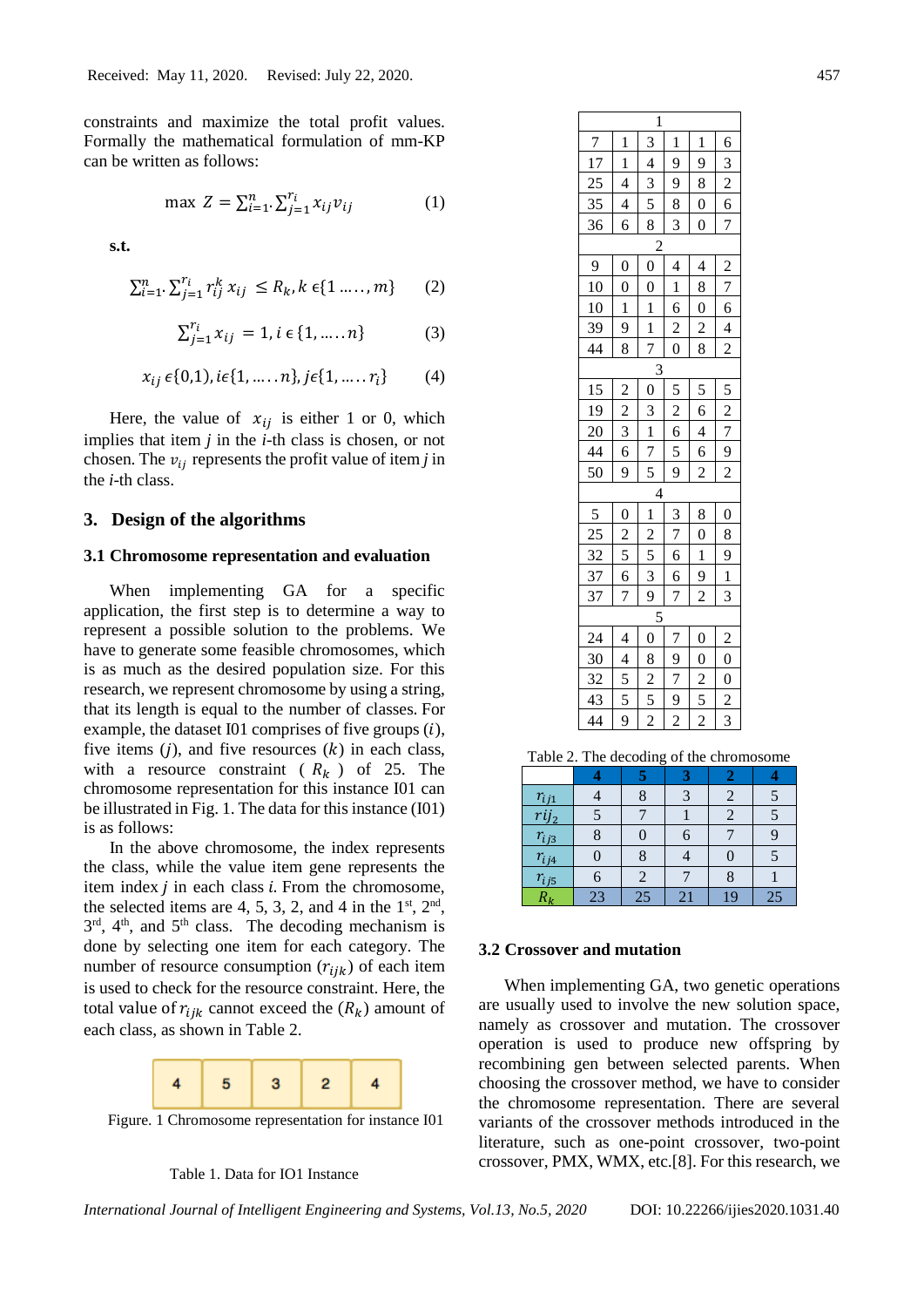constraints and maximize the total profit values. Formally the mathematical formulation of mm-KP can be written as follows:

$$
\max Z = \sum_{i=1}^{n} \sum_{j=1}^{r_i} x_{ij} v_{ij}
$$
 (1)

**s.t.**

$$
\sum_{i=1}^{n} \sum_{j=1}^{r_i} r_{ij}^k x_{ij} \le R_k, k \in \{1 \dots, m\}
$$
 (2)

$$
\sum_{j=1}^{r_i} x_{ij} = 1, i \in \{1, \dots, n\}
$$
 (3)

$$
x_{ij} \epsilon \{0,1\}, i\epsilon \{1, \dots, n\}, j\epsilon \{1, \dots, r_i\} \tag{4}
$$

Here, the value of  $x_{ij}$  is either 1 or 0, which implies that item *j* in the *i*-th class is chosen, or not chosen. The  $v_{ij}$  represents the profit value of item *j* in the *i*-th class.

# **3. Design of the algorithms**

# **3.1 Chromosome representation and evaluation**

When implementing GA for a specific application, the first step is to determine a way to represent a possible solution to the problems. We have to generate some feasible chromosomes, which is as much as the desired population size. For this research, we represent chromosome by using a string, that its length is equal to the number of classes. For example, the dataset I01 comprises of five groups  $(i)$ , five items  $(j)$ , and five resources  $(k)$  in each class, with a resource constraint ( $R_k$ ) of 25. The chromosome representation for this instance I01 can be illustrated in Fig. 1. The data for this instance (I01) is as follows:

In the above chromosome, the index represents the class, while the value item gene represents the item index  $i$  in each class  $i$ . From the chromosome, the selected items are 4, 5, 3, 2, and 4 in the  $1<sup>st</sup>$ ,  $2<sup>nd</sup>$ , 3<sup>rd</sup>, 4<sup>th</sup>, and 5<sup>th</sup> class. The decoding mechanism is done by selecting one item for each category. The number of resource consumption  $(r_{ijk})$  of each item is used to check for the resource constraint. Here, the total value of  $r_{ijk}$  cannot exceed the  $(R_k)$  amount of each class, as shown in [Table 2.](#page-2-0)



Figure. 1 Chromosome representation for instance I01



| $\mathbf{1}$                                          |                                                                                                                                                |                                           |                                           |                                           |                                           |  |  |  |  |  |
|-------------------------------------------------------|------------------------------------------------------------------------------------------------------------------------------------------------|-------------------------------------------|-------------------------------------------|-------------------------------------------|-------------------------------------------|--|--|--|--|--|
|                                                       | $\frac{7}{17}$<br>$\frac{25}{35}$<br>$\frac{35}{36}$<br>$\frac{6}{3}$ $\frac{2}{6}$ $\frac{6}{7}$<br>$\frac{3}{4}$ $\frac{4}{3}$ $\frac{5}{8}$ |                                           |                                           |                                           |                                           |  |  |  |  |  |
|                                                       |                                                                                                                                                |                                           |                                           |                                           |                                           |  |  |  |  |  |
|                                                       |                                                                                                                                                |                                           |                                           |                                           |                                           |  |  |  |  |  |
|                                                       |                                                                                                                                                |                                           |                                           |                                           |                                           |  |  |  |  |  |
|                                                       | $\frac{1}{4}$ $\frac{4}{4}$ $\frac{4}{6}$                                                                                                      |                                           | $\frac{1}{9}$ $\frac{9}{8}$ $\frac{8}{3}$ | $\frac{1}{9}$ $\frac{8}{0}$ $\frac{0}{0}$ |                                           |  |  |  |  |  |
|                                                       |                                                                                                                                                |                                           |                                           |                                           |                                           |  |  |  |  |  |
|                                                       |                                                                                                                                                |                                           |                                           |                                           |                                           |  |  |  |  |  |
| $\frac{9}{10}$<br>$\frac{10}{39}$<br>$\frac{39}{44}$  | $\frac{0}{\sqrt{1}}$ $\frac{1}{\sqrt{9}}$ $\frac{9}{\sqrt{8}}$                                                                                 | $\frac{0}{0}$ $\frac{1}{1}$ $\frac{1}{7}$ | $\frac{4}{1}$ $\frac{6}{2}$ $\frac{2}{0}$ | $\frac{4}{8}$ $\frac{8}{8}$               | $\frac{2}{7}$ $\frac{6}{4}$ $\frac{4}{2}$ |  |  |  |  |  |
|                                                       |                                                                                                                                                |                                           |                                           |                                           |                                           |  |  |  |  |  |
|                                                       |                                                                                                                                                |                                           |                                           |                                           |                                           |  |  |  |  |  |
|                                                       |                                                                                                                                                |                                           |                                           |                                           |                                           |  |  |  |  |  |
|                                                       |                                                                                                                                                |                                           |                                           |                                           |                                           |  |  |  |  |  |
|                                                       |                                                                                                                                                |                                           |                                           |                                           |                                           |  |  |  |  |  |
|                                                       |                                                                                                                                                |                                           |                                           |                                           |                                           |  |  |  |  |  |
|                                                       |                                                                                                                                                |                                           |                                           |                                           |                                           |  |  |  |  |  |
| $\frac{15}{19}$<br>$\frac{20}{44}$<br>$\frac{44}{50}$ | $\frac{2}{2}$ $\frac{3}{6}$ $\frac{6}{9}$                                                                                                      | $\frac{0}{3}$ $\frac{1}{7}$ $\frac{7}{5}$ | $rac{5}{2}$ $rac{6}{5}$ $rac{5}{9}$       | $\frac{5}{6}$ $\frac{4}{6}$ $\frac{6}{2}$ | $\frac{5}{2}$ $\frac{7}{2}$ $\frac{9}{2}$ |  |  |  |  |  |
|                                                       |                                                                                                                                                |                                           |                                           |                                           |                                           |  |  |  |  |  |
|                                                       |                                                                                                                                                | $\overline{4}$                            |                                           |                                           |                                           |  |  |  |  |  |
|                                                       |                                                                                                                                                |                                           |                                           |                                           |                                           |  |  |  |  |  |
|                                                       |                                                                                                                                                |                                           |                                           |                                           |                                           |  |  |  |  |  |
| $rac{5}{\frac{25}{32}}$<br>$rac{37}{37}$              | $\frac{0}{2}$ $\frac{5}{6}$ $\frac{6}{7}$                                                                                                      | $\frac{1}{2}$ $\frac{2}{5}$ $\frac{3}{9}$ | $\frac{3}{7}$ $\frac{6}{6}$ $\frac{6}{7}$ | $\frac{8}{0}$ $\frac{0}{2}$               | $\frac{0}{8}$ $\frac{9}{1}$ $\frac{1}{3}$ |  |  |  |  |  |
|                                                       |                                                                                                                                                |                                           |                                           |                                           |                                           |  |  |  |  |  |
|                                                       |                                                                                                                                                |                                           |                                           |                                           |                                           |  |  |  |  |  |
|                                                       |                                                                                                                                                |                                           |                                           |                                           |                                           |  |  |  |  |  |
|                                                       |                                                                                                                                                |                                           |                                           |                                           | $\frac{2}{0}$ $\frac{0}{2}$ $\frac{2}{3}$ |  |  |  |  |  |
|                                                       |                                                                                                                                                |                                           |                                           |                                           |                                           |  |  |  |  |  |
|                                                       |                                                                                                                                                |                                           |                                           |                                           |                                           |  |  |  |  |  |
| $\frac{24}{30}$<br>$\frac{32}{43}$                    | $\frac{4}{4}$ $\frac{5}{5}$ $\frac{5}{9}$                                                                                                      | $\frac{0}{8}$ $\frac{2}{2}$               | $\frac{7}{9}$ $\frac{7}{2}$ $\frac{9}{2}$ | $\frac{0}{2}$ $\frac{5}{2}$               |                                           |  |  |  |  |  |
|                                                       |                                                                                                                                                |                                           |                                           |                                           |                                           |  |  |  |  |  |

<span id="page-2-0"></span>Table 2. The decoding of the chromosome

| $r_{ij1}$               |    |    |    |    |    |
|-------------------------|----|----|----|----|----|
|                         |    |    |    |    |    |
| $\frac{rij_2}{r_{ij3}}$ |    |    |    |    |    |
|                         |    |    |    |    |    |
| $rac{r_{ij4}}{r_{ij5}}$ | 6  |    |    |    |    |
| $R_{\rm\bf \nu}$        | 23 | 25 | 21 | 19 | 25 |

#### **3.2 Crossover and mutation**

When implementing GA, two genetic operations are usually used to involve the new solution space, namely as crossover and mutation. The crossover operation is used to produce new offspring by recombining gen between selected parents. When choosing the crossover method, we have to consider the chromosome representation. There are several variants of the crossover methods introduced in the literature, such as one-point crossover, two-point crossover, PMX, WMX, etc.[8]. For this research, we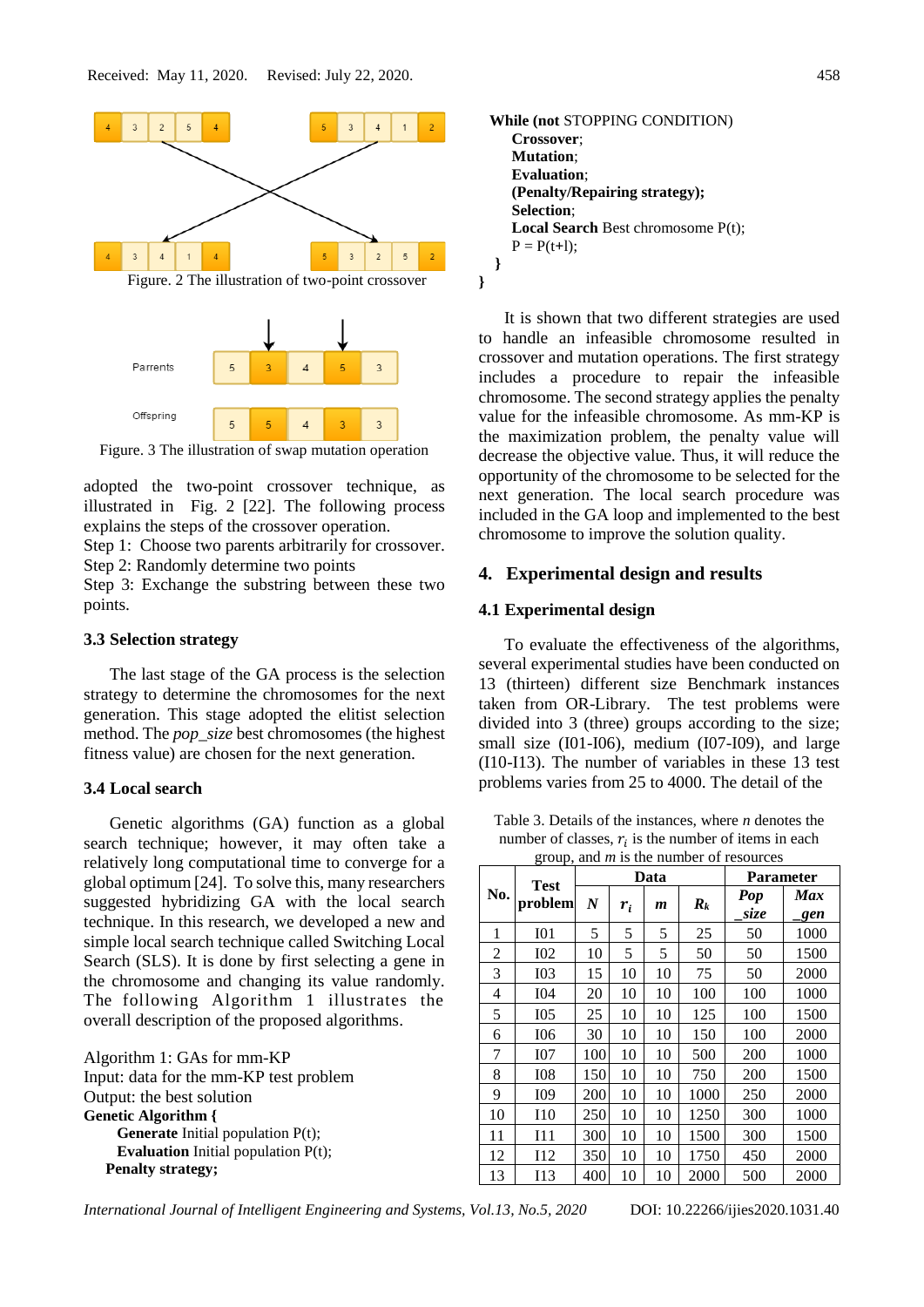

Figure. 3 The illustration of swap mutation operation

adopted the two-point crossover technique, as illustrated in Fig. 2 [22]. The following process explains the steps of the crossover operation.

Step 1: Choose two parents arbitrarily for crossover. Step 2: Randomly determine two points

Step 3: Exchange the substring between these two points.

#### **3.3 Selection strategy**

The last stage of the GA process is the selection strategy to determine the chromosomes for the next generation. This stage adopted the elitist selection method. The *pop\_size* best chromosomes (the highest fitness value) are chosen for the next generation.

#### **3.4 Local search**

Genetic algorithms (GA) function as a global search technique; however, it may often take a relatively long computational time to converge for a global optimum [24]. To solve this, many researchers suggested hybridizing GA with the local search technique. In this research, we developed a new and simple local search technique called Switching Local Search (SLS). It is done by first selecting a gene in the chromosome and changing its value randomly. The following Algorithm 1 illustrates the overall description of the proposed algorithms.

| Algorithm 1: GAs for mm-KP                    |
|-----------------------------------------------|
| Input: data for the mm-KP test problem        |
| Output: the best solution                     |
| <b>Genetic Algorithm</b> {                    |
| <b>Generate</b> Initial population $P(t)$ ;   |
| <b>Evaluation</b> Initial population $P(t)$ ; |
| <b>Penalty strategy;</b>                      |



It is shown that two different strategies are used to handle an infeasible chromosome resulted in crossover and mutation operations. The first strategy includes a procedure to repair the infeasible chromosome. The second strategy applies the penalty value for the infeasible chromosome. As mm-KP is the maximization problem, the penalty value will decrease the objective value. Thus, it will reduce the opportunity of the chromosome to be selected for the next generation. The local search procedure was included in the GA loop and implemented to the best chromosome to improve the solution quality.

### **4. Experimental design and results**

### **4.1 Experimental design**

To evaluate the effectiveness of the algorithms, several experimental studies have been conducted on 13 (thirteen) different size Benchmark instances taken from OR-Library. The test problems were divided into 3 (three) groups according to the size; small size (I01-I06), medium (I07-I09), and large (I10-I13). The number of variables in these 13 test problems varies from 25 to 4000. The detail of the

<span id="page-3-0"></span>Table 3. Details of the instances, where *n* denotes the number of classes,  $r_i$  is the number of items in each group, and *m* is the number of resources

|     | $\mu$ oup, and <i>m</i> is the named of resources |                  |       | Data             | <b>Parameter</b>   |             |            |
|-----|---------------------------------------------------|------------------|-------|------------------|--------------------|-------------|------------|
| No. | <b>Test</b><br>problem                            | $\boldsymbol{N}$ | $r_i$ | $\boldsymbol{m}$ | $\boldsymbol{R}_k$ | Pop<br>size | Max<br>gen |
| 1   | I <sub>01</sub>                                   | 5                | 5     | 5                | 25                 | 50          | 1000       |
| 2   | I <sub>02</sub>                                   | 10               | 5     | 5                | 50                 | 50          | 1500       |
| 3   | <b>I03</b>                                        | 15               | 10    | 10               | 75                 | 50          | 2000       |
| 4   | <b>I04</b>                                        | 20               | 10    | 10               | 100                | 100         | 1000       |
| 5   | I <sub>05</sub>                                   | 25               | 10    | 10               | 125                | 100         | 1500       |
| 6   | I06                                               | 30               | 10    | 10               | 150                | 100         | 2000       |
| 7   | I07                                               | 100              | 10    | 10               | 500                | 200         | 1000       |
| 8   | <b>I08</b>                                        | 150              | 10    | 10               | 750                | 200         | 1500       |
| 9   | I09                                               | 200              | 10    | 10               | 1000               | 250         | 2000       |
| 10  | I <sub>10</sub>                                   | 250              | 10    | 10               | 1250               | 300         | 1000       |
| 11  | I11                                               | 300              | 10    | 10               | 1500               | 300         | 1500       |
| 12  | 112                                               | 350              | 10    | 10               | 1750               | 450         | 2000       |
| 13  | I13                                               | 400              | 10    | 10               | 2000               | 500         | 2000       |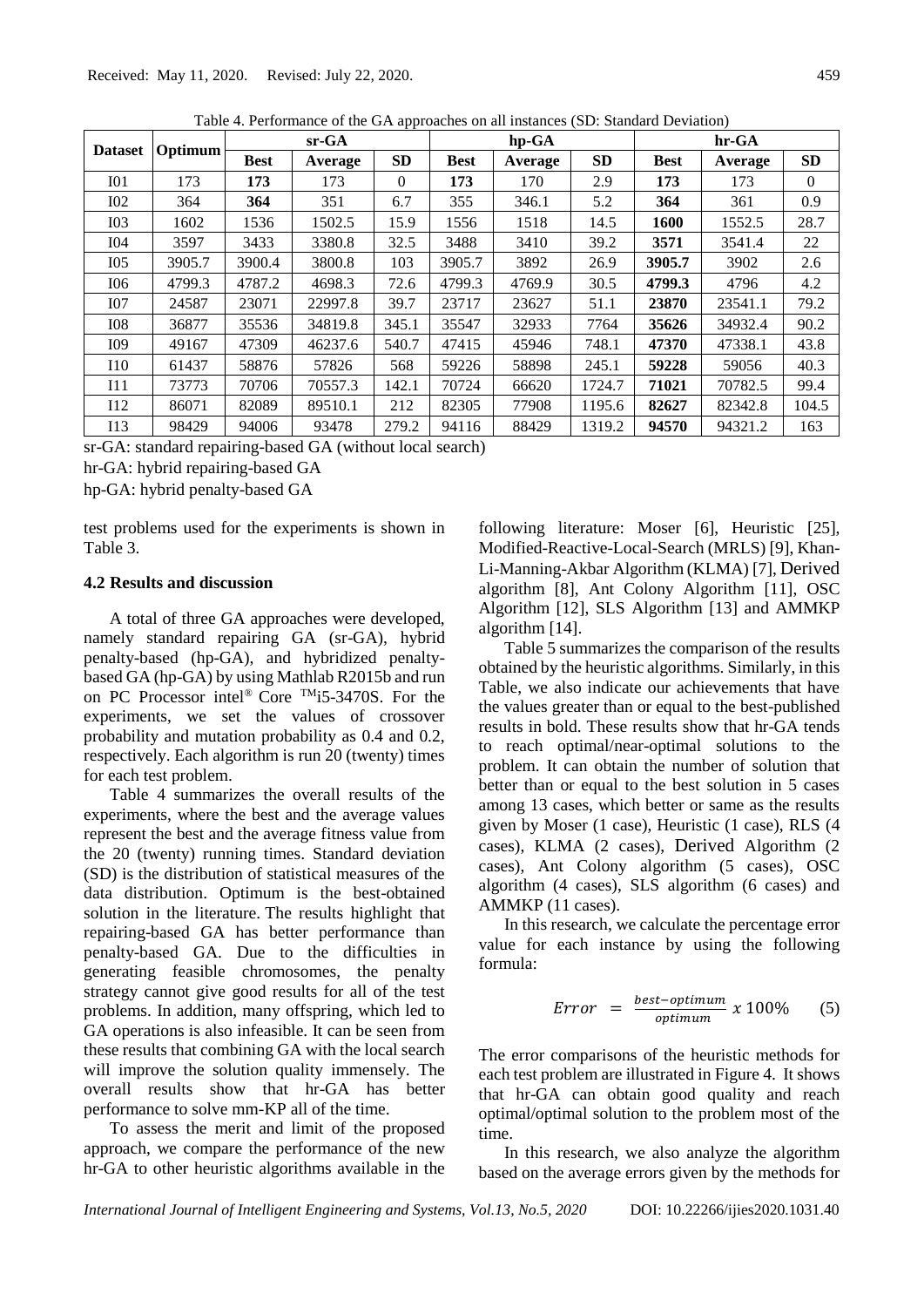|                 | Optimum | $sr-GA$     |         |           |             | hp-GA   |           | hr-GA       |         |           |
|-----------------|---------|-------------|---------|-----------|-------------|---------|-----------|-------------|---------|-----------|
| <b>Dataset</b>  |         | <b>Best</b> | Average | <b>SD</b> | <b>Best</b> | Average | <b>SD</b> | <b>Best</b> | Average | <b>SD</b> |
| I <sub>01</sub> | 173     | 173         | 173     | $\Omega$  | 173         | 170     | 2.9       | 173         | 173     | $\theta$  |
| I <sub>02</sub> | 364     | 364         | 351     | 6.7       | 355         | 346.1   | 5.2       | 364         | 361     | 0.9       |
| I <sub>03</sub> | 1602    | 1536        | 1502.5  | 15.9      | 1556        | 1518    | 14.5      | 1600        | 1552.5  | 28.7      |
| <b>I04</b>      | 3597    | 3433        | 3380.8  | 32.5      | 3488        | 3410    | 39.2      | 3571        | 3541.4  | 22        |
| I05             | 3905.7  | 3900.4      | 3800.8  | 103       | 3905.7      | 3892    | 26.9      | 3905.7      | 3902    | 2.6       |
| I06             | 4799.3  | 4787.2      | 4698.3  | 72.6      | 4799.3      | 4769.9  | 30.5      | 4799.3      | 4796    | 4.2       |
| I07             | 24587   | 23071       | 22997.8 | 39.7      | 23717       | 23627   | 51.1      | 23870       | 23541.1 | 79.2      |
| <b>IO8</b>      | 36877   | 35536       | 34819.8 | 345.1     | 35547       | 32933   | 7764      | 35626       | 34932.4 | 90.2      |
| I09             | 49167   | 47309       | 46237.6 | 540.7     | 47415       | 45946   | 748.1     | 47370       | 47338.1 | 43.8      |
| 110             | 61437   | 58876       | 57826   | 568       | 59226       | 58898   | 245.1     | 59228       | 59056   | 40.3      |
| I11             | 73773   | 70706       | 70557.3 | 142.1     | 70724       | 66620   | 1724.7    | 71021       | 70782.5 | 99.4      |
| 112             | 86071   | 82089       | 89510.1 | 212       | 82305       | 77908   | 1195.6    | 82627       | 82342.8 | 104.5     |
| I13             | 98429   | 94006       | 93478   | 279.2     | 94116       | 88429   | 1319.2    | 94570       | 94321.2 | 163       |

Table 4. Performance of the GA approaches on all instances (SD: Standard Deviation)

sr-GA: standard repairing-based GA (without local search)

hr-GA: hybrid repairing-based GA

hp-GA: hybrid penalty-based GA

test problems used for the experiments is shown in [Table 3.](#page-3-0)

# **4.2 Results and discussion**

A total of three GA approaches were developed, namely standard repairing GA (sr-GA), hybrid penalty-based (hp-GA), and hybridized penaltybased GA (hp-GA) by using Mathlab R2015b and run on PC Processor intel® Core TMi5-3470S. For the experiments, we set the values of crossover probability and mutation probability as 0.4 and 0.2, respectively. Each algorithm is run 20 (twenty) times for each test problem.

Table 4 summarizes the overall results of the experiments, where the best and the average values represent the best and the average fitness value from the 20 (twenty) running times. Standard deviation (SD) is the distribution of statistical measures of the data distribution. Optimum is the best-obtained solution in the literature. The results highlight that repairing-based GA has better performance than penalty-based GA. Due to the difficulties in generating feasible chromosomes, the penalty strategy cannot give good results for all of the test problems. In addition, many offspring, which led to GA operations is also infeasible. It can be seen from these results that combining GA with the local search will improve the solution quality immensely. The overall results show that hr-GA has better performance to solve mm-KP all of the time.

To assess the merit and limit of the proposed approach, we compare the performance of the new hr-GA to other heuristic algorithms available in the following literature: Moser [6], Heuristic [25], Modified-Reactive-Local-Search (MRLS) [9], Khan-Li-Manning-Akbar Algorithm (KLMA) [7], Derived algorithm [8], Ant Colony Algorithm [11], OSC Algorithm [12], SLS Algorithm [13] and AMMKP algorithm [14].

[Table 5](#page-5-0) summarizes the comparison of the results obtained by the heuristic algorithms. Similarly, in this Table, we also indicate our achievements that have the values greater than or equal to the best-published results in bold. These results show that hr-GA tends to reach optimal/near-optimal solutions to the problem. It can obtain the number of solution that better than or equal to the best solution in 5 cases among 13 cases, which better or same as the results given by Moser (1 case), Heuristic (1 case), RLS (4 cases), KLMA (2 cases), Derived Algorithm (2 cases), Ant Colony algorithm (5 cases), OSC algorithm (4 cases), SLS algorithm (6 cases) and AMMKP (11 cases).

In this research, we calculate the percentage error value for each instance by using the following formula:

$$
Error = \frac{best-optimum}{optimum} \times 100\% \qquad (5)
$$

The error comparisons of the heuristic methods for each test problem are illustrated i[n Figure 4.](#page-5-1) It shows that hr-GA can obtain good quality and reach optimal/optimal solution to the problem most of the time.

In this research, we also analyze the algorithm based on the average errors given by the methods for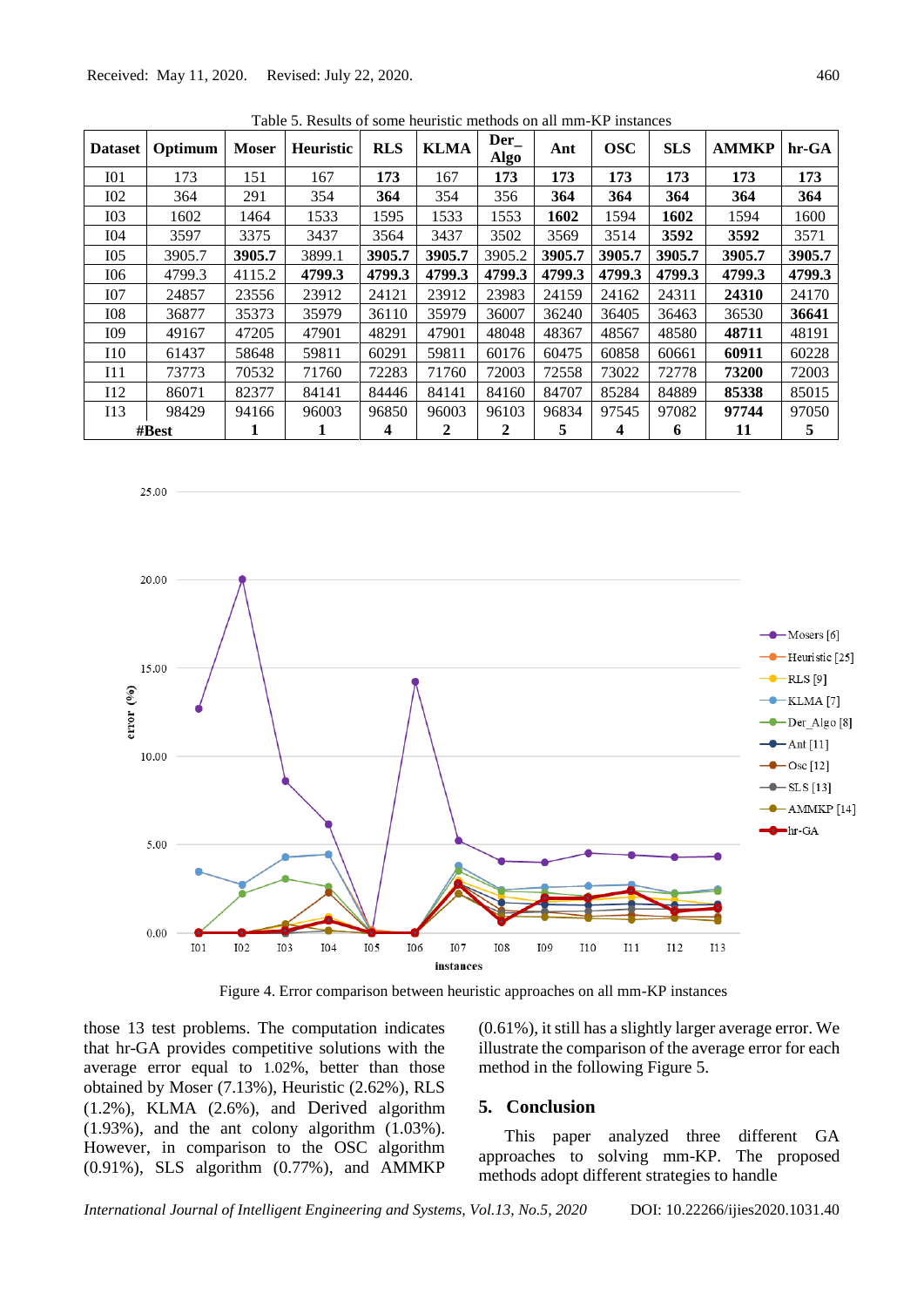Received: May 11, 2020. Revised: July 22, 2020. 460

25.00

<span id="page-5-0"></span>

| <b>Dataset</b>  | Optimum  | <b>Moser</b> | <b>Heuristic</b> | <b>RLS</b> | <b>KLMA</b>  | $Der_{-}$<br>$\bf{Alg0}$ | Ant    | <b>OSC</b> | <b>SLS</b> | <b>AMMKP</b> | hr-GA  |
|-----------------|----------|--------------|------------------|------------|--------------|--------------------------|--------|------------|------------|--------------|--------|
| I <sub>01</sub> | 173      | 151          | 167              | 173        | 167          | 173                      | 173    | 173        | 173        | 173          | 173    |
| <b>I02</b>      | 364      | 291          | 354              | 364        | 354          | 356                      | 364    | 364        | 364        | 364          | 364    |
| I <sub>03</sub> | 1602     | 1464         | 1533             | 1595       | 1533         | 1553                     | 1602   | 1594       | 1602       | 1594         | 1600   |
| I04             | 3597     | 3375         | 3437             | 3564       | 3437         | 3502                     | 3569   | 3514       | 3592       | 3592         | 3571   |
| I05             | 3905.7   | 3905.7       | 3899.1           | 3905.7     | 3905.7       | 3905.2                   | 3905.7 | 3905.7     | 3905.7     | 3905.7       | 3905.7 |
| <b>I06</b>      | 4799.3   | 4115.2       | 4799.3           | 4799.3     | 4799.3       | 4799.3                   | 4799.3 | 4799.3     | 4799.3     | 4799.3       | 4799.3 |
| I07             | 24857    | 23556        | 23912            | 24121      | 23912        | 23983                    | 24159  | 24162      | 24311      | 24310        | 24170  |
| <b>I08</b>      | 36877    | 35373        | 35979            | 36110      | 35979        | 36007                    | 36240  | 36405      | 36463      | 36530        | 36641  |
| I09             | 49167    | 47205        | 47901            | 48291      | 47901        | 48048                    | 48367  | 48567      | 48580      | 48711        | 48191  |
| <b>I</b> 10     | 61437    | 58648        | 59811            | 60291      | 59811        | 60176                    | 60475  | 60858      | 60661      | 60911        | 60228  |
| I11             | 73773    | 70532        | 71760            | 72283      | 71760        | 72003                    | 72558  | 73022      | 72778      | 73200        | 72003  |
| I12             | 86071    | 82377        | 84141            | 84446      | 84141        | 84160                    | 84707  | 85284      | 84889      | 85338        | 85015  |
| I13             | 98429    | 94166        | 96003            | 96850      | 96003        | 96103                    | 96834  | 97545      | 97082      | 97744        | 97050  |
|                 | $\#Best$ | 1            | 1                | 4          | $\mathbf{2}$ | 2                        | 5      | 4          | 6          | 11           | 5      |

 $Table 5.$  Results of some heuristic methods on all mm-KP instances



Figure 4. Error comparison between heuristic approaches on all mm-KP instances

<span id="page-5-1"></span>those 13 test problems. The computation indicates that hr-GA provides competitive solutions with the average error equal to 1.02%, better than those obtained by Moser (7.13%), Heuristic (2.62%), RLS (1.2%), KLMA (2.6%), and Derived algorithm (1.93%), and the ant colony algorithm (1.03%). However, in comparison to the OSC algorithm (0.91%), SLS algorithm (0.77%), and AMMKP

(0.61%), it still has a slightly larger average error. We illustrate the comparison of the average error for each method in the following [Figure 5.](#page-6-0)

## **5. Conclusion**

This paper analyzed three different GA approaches to solving mm-KP. The proposed methods adopt different strategies to handle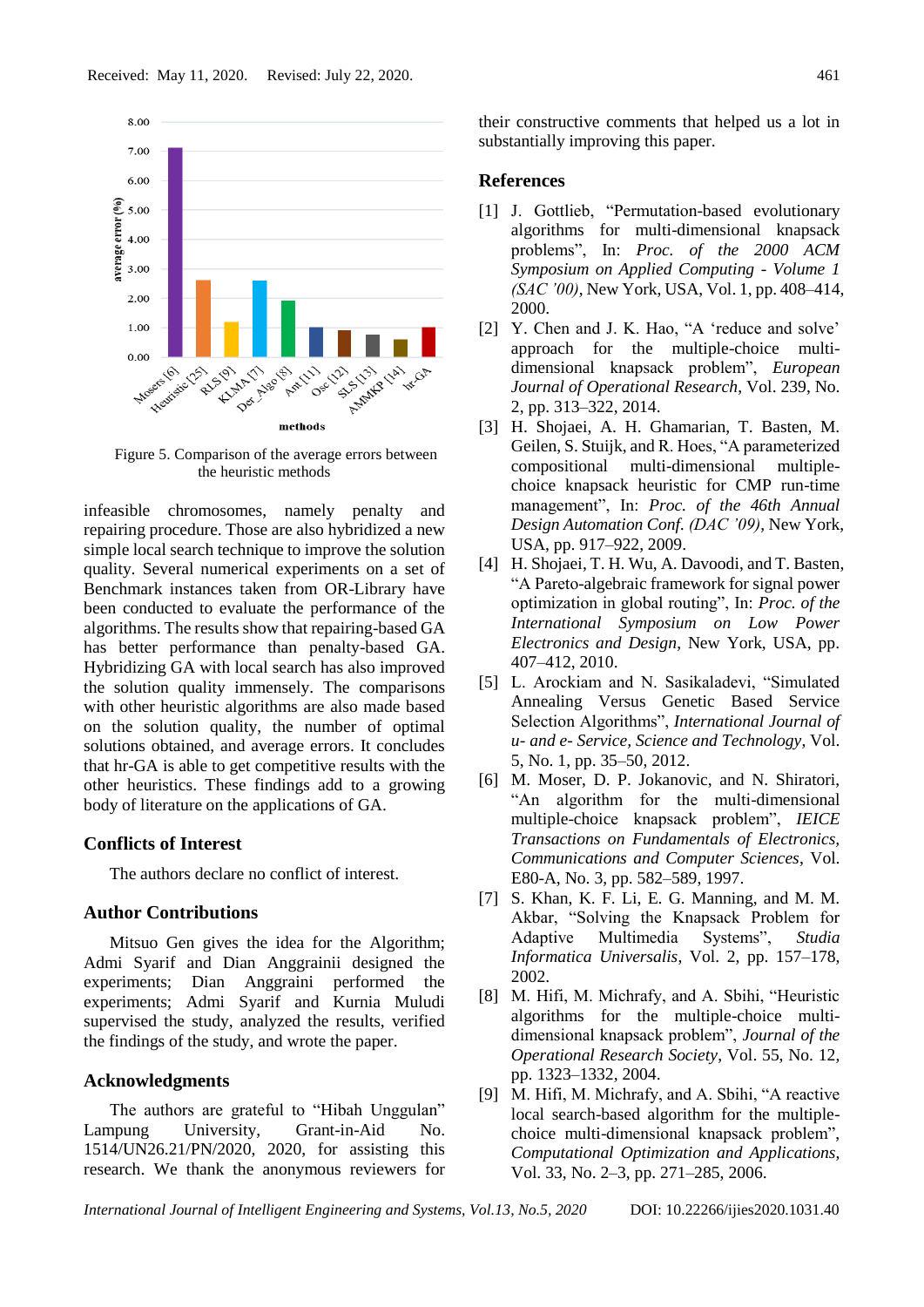

<span id="page-6-0"></span>Figure 5. Comparison of the average errors between the heuristic methods

infeasible chromosomes, namely penalty and repairing procedure. Those are also hybridized a new simple local search technique to improve the solution quality. Several numerical experiments on a set of Benchmark instances taken from OR-Library have been conducted to evaluate the performance of the algorithms. The results show that repairing-based GA has better performance than penalty-based GA. Hybridizing GA with local search has also improved the solution quality immensely. The comparisons with other heuristic algorithms are also made based on the solution quality, the number of optimal solutions obtained, and average errors. It concludes that hr-GA is able to get competitive results with the other heuristics. These findings add to a growing body of literature on the applications of GA.

#### **Conflicts of Interest**

The authors declare no conflict of interest.

# **Author Contributions**

Mitsuo Gen gives the idea for the Algorithm; Admi Syarif and Dian Anggrainii designed the experiments; Dian Anggraini performed the experiments; Admi Syarif and Kurnia Muludi supervised the study, analyzed the results, verified the findings of the study, and wrote the paper.

# **Acknowledgments**

The authors are grateful to "Hibah Unggulan" Lampung University, Grant-in-Aid No. 1514/UN26.21/PN/2020, 2020, for assisting this research. We thank the anonymous reviewers for their constructive comments that helped us a lot in substantially improving this paper.

#### **References**

- [1] J. Gottlieb, "Permutation-based evolutionary algorithms for multi-dimensional knapsack problems", In: *Proc. of the 2000 ACM Symposium on Applied Computing - Volume 1 (SAC '00)*, New York, USA, Vol. 1, pp. 408–414, 2000.
- [2] Y. Chen and J. K. Hao, "A 'reduce and solve' approach for the multiple-choice multidimensional knapsack problem", *European Journal of Operational Research*, Vol. 239, No. 2, pp. 313–322, 2014.
- [3] H. Shojaei, A. H. Ghamarian, T. Basten, M. Geilen, S. Stuijk, and R. Hoes, "A parameterized compositional multi-dimensional multiplechoice knapsack heuristic for CMP run-time management", In: *Proc. of the 46th Annual Design Automation Conf. (DAC '09)*, New York, USA, pp. 917–922, 2009.
- [4] H. Shojaei, T. H. Wu, A. Davoodi, and T. Basten, "A Pareto-algebraic framework for signal power optimization in global routing", In: *Proc. of the International Symposium on Low Power Electronics and Design*, New York, USA, pp. 407–412, 2010.
- [5] L. Arockiam and N. Sasikaladevi, "Simulated Annealing Versus Genetic Based Service Selection Algorithms", *International Journal of u- and e- Service, Science and Technology*, Vol. 5, No. 1, pp. 35–50, 2012.
- [6] M. Moser, D. P. Jokanovic, and N. Shiratori, "An algorithm for the multi-dimensional multiple-choice knapsack problem", *IEICE Transactions on Fundamentals of Electronics, Communications and Computer Sciences*, Vol. E80-A, No. 3, pp. 582–589, 1997.
- [7] S. Khan, K. F. Li, E. G. Manning, and M. M. Akbar, "Solving the Knapsack Problem for Adaptive Multimedia Systems", *Studia Informatica Universalis*, Vol. 2, pp. 157–178, 2002.
- [8] M. Hifi, M. Michrafy, and A. Sbihi, "Heuristic algorithms for the multiple-choice multidimensional knapsack problem", *Journal of the Operational Research Society*, Vol. 55, No. 12, pp. 1323–1332, 2004.
- [9] M. Hifi, M. Michrafy, and A. Sbihi, "A reactive local search-based algorithm for the multiplechoice multi-dimensional knapsack problem", *Computational Optimization and Applications*, Vol. 33, No. 2–3, pp. 271–285, 2006.